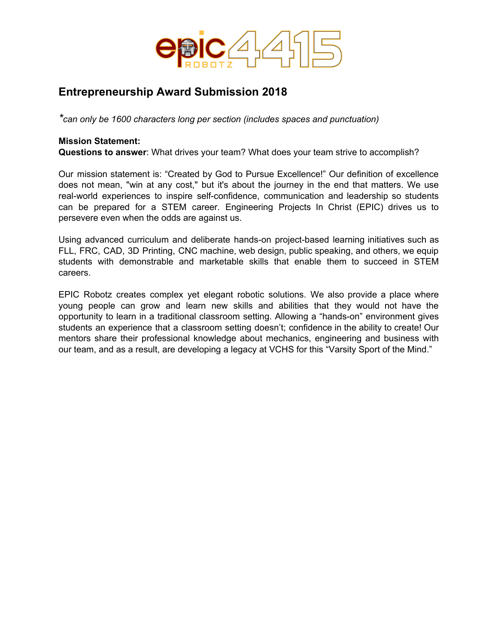

# **Entrepreneurship Award Submission 2018**

*\*can only be 1600 characters long per section (includes spaces and punctuation)*

#### **Mission Statement:**

**Questions to answer**: What drives your team? What does your team strive to accomplish?

Our mission statement is: "Created by God to Pursue Excellence!" Our definition of excellence does not mean, "win at any cost," but it's about the journey in the end that matters. We use real-world experiences to inspire self-confidence, communication and leadership so students can be prepared for a STEM career. Engineering Projects In Christ (EPIC) drives us to persevere even when the odds are against us.

Using advanced curriculum and deliberate hands-on project-based learning initiatives such as FLL, FRC, CAD, 3D Printing, CNC machine, web design, public speaking, and others, we equip students with demonstrable and marketable skills that enable them to succeed in STEM careers.

EPIC Robotz creates complex yet elegant robotic solutions. We also provide a place where young people can grow and learn new skills and abilities that they would not have the opportunity to learn in a traditional classroom setting. Allowing a "hands-on" environment gives students an experience that a classroom setting doesn't; confidence in the ability to create! Our mentors share their professional knowledge about mechanics, engineering and business with our team, and as a result, are developing a legacy at VCHS for this "Varsity Sport of the Mind."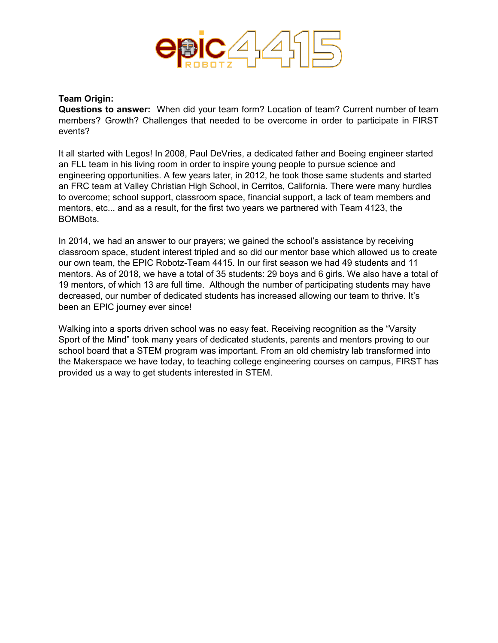

#### **Team Origin:**

**Questions to answer:** When did your team form? Location of team? Current number of team members? Growth? Challenges that needed to be overcome in order to participate in FIRST events?

It all started with Legos! In 2008, Paul DeVries, a dedicated father and Boeing engineer started an FLL team in his living room in order to inspire young people to pursue science and engineering opportunities. A few years later, in 2012, he took those same students and started an FRC team at Valley Christian High School, in Cerritos, California. There were many hurdles to overcome; school support, classroom space, financial support, a lack of team members and mentors, etc... and as a result, for the first two years we partnered with Team 4123, the BOMBots.

In 2014, we had an answer to our prayers; we gained the school's assistance by receiving classroom space, student interest tripled and so did our mentor base which allowed us to create our own team, the EPIC Robotz-Team 4415. In our first season we had 49 students and 11 mentors. As of 2018, we have a total of 35 students: 29 boys and 6 girls. We also have a total of 19 mentors, of which 13 are full time. Although the number of participating students may have decreased, our number of dedicated students has increased allowing our team to thrive. It's been an EPIC journey ever since!

Walking into a sports driven school was no easy feat. Receiving recognition as the "Varsity Sport of the Mind" took many years of dedicated students, parents and mentors proving to our school board that a STEM program was important. From an old chemistry lab transformed into the Makerspace we have today, to teaching college engineering courses on campus, FIRST has provided us a way to get students interested in STEM.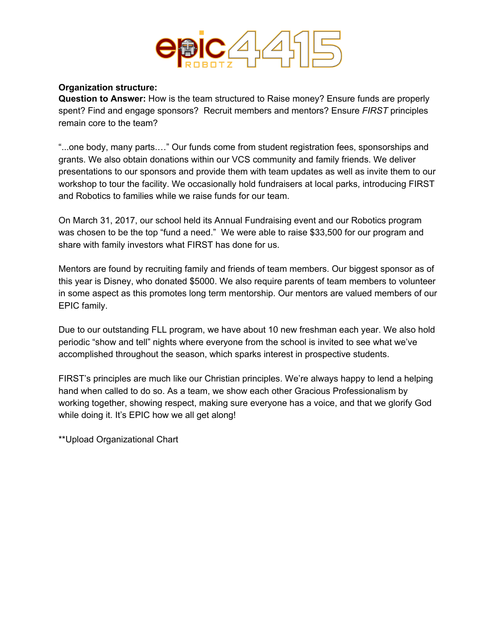

#### **Organization structure:**

**Question to Answer:** How is the team structured to Raise money? Ensure funds are properly spent? Find and engage sponsors? Recruit members and mentors? Ensure *FIRST* principles remain core to the team?

"...one body, many parts.…" Our funds come from student registration fees, sponsorships and grants. We also obtain donations within our VCS community and family friends. We deliver presentations to our sponsors and provide them with team updates as well as invite them to our workshop to tour the facility. We occasionally hold fundraisers at local parks, introducing FIRST and Robotics to families while we raise funds for our team.

On March 31, 2017, our school held its Annual Fundraising event and our Robotics program was chosen to be the top "fund a need." We were able to raise \$33,500 for our program and share with family investors what FIRST has done for us.

Mentors are found by recruiting family and friends of team members. Our biggest sponsor as of this year is Disney, who donated \$5000. We also require parents of team members to volunteer in some aspect as this promotes long term mentorship. Our mentors are valued members of our EPIC family.

Due to our outstanding FLL program, we have about 10 new freshman each year. We also hold periodic "show and tell" nights where everyone from the school is invited to see what we've accomplished throughout the season, which sparks interest in prospective students.

FIRST's principles are much like our Christian principles. We're always happy to lend a helping hand when called to do so. As a team, we show each other Gracious Professionalism by working together, showing respect, making sure everyone has a voice, and that we glorify God while doing it. It's EPIC how we all get along!

\*\*Upload Organizational Chart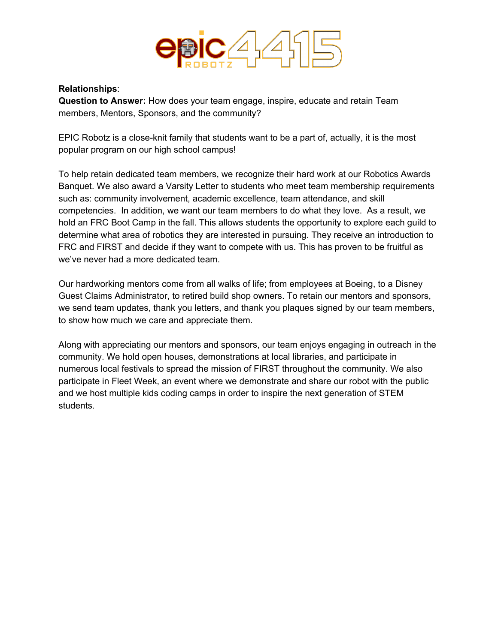

## **Relationships**:

**Question to Answer:** How does your team engage, inspire, educate and retain Team members, Mentors, Sponsors, and the community?

EPIC Robotz is a close-knit family that students want to be a part of, actually, it is the most popular program on our high school campus!

To help retain dedicated team members, we recognize their hard work at our Robotics Awards Banquet. We also award a Varsity Letter to students who meet team membership requirements such as: community involvement, academic excellence, team attendance, and skill competencies. In addition, we want our team members to do what they love. As a result, we hold an FRC Boot Camp in the fall. This allows students the opportunity to explore each guild to determine what area of robotics they are interested in pursuing. They receive an introduction to FRC and FIRST and decide if they want to compete with us. This has proven to be fruitful as we've never had a more dedicated team.

Our hardworking mentors come from all walks of life; from employees at Boeing, to a Disney Guest Claims Administrator, to retired build shop owners. To retain our mentors and sponsors, we send team updates, thank you letters, and thank you plaques signed by our team members, to show how much we care and appreciate them.

Along with appreciating our mentors and sponsors, our team enjoys engaging in outreach in the community. We hold open houses, demonstrations at local libraries, and participate in numerous local festivals to spread the mission of FIRST throughout the community. We also participate in Fleet Week, an event where we demonstrate and share our robot with the public and we host multiple kids coding camps in order to inspire the next generation of STEM students.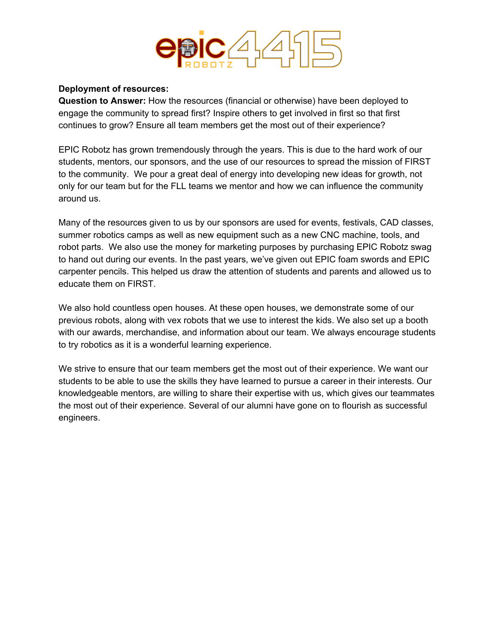

## **Deployment of resources:**

**Question to Answer:** How the resources (financial or otherwise) have been deployed to engage the community to spread first? Inspire others to get involved in first so that first continues to grow? Ensure all team members get the most out of their experience?

EPIC Robotz has grown tremendously through the years. This is due to the hard work of our students, mentors, our sponsors, and the use of our resources to spread the mission of FIRST to the community. We pour a great deal of energy into developing new ideas for growth, not only for our team but for the FLL teams we mentor and how we can influence the community around us.

Many of the resources given to us by our sponsors are used for events, festivals, CAD classes, summer robotics camps as well as new equipment such as a new CNC machine, tools, and robot parts. We also use the money for marketing purposes by purchasing EPIC Robotz swag to hand out during our events. In the past years, we've given out EPIC foam swords and EPIC carpenter pencils. This helped us draw the attention of students and parents and allowed us to educate them on FIRST.

We also hold countless open houses. At these open houses, we demonstrate some of our previous robots, along with vex robots that we use to interest the kids. We also set up a booth with our awards, merchandise, and information about our team. We always encourage students to try robotics as it is a wonderful learning experience.

We strive to ensure that our team members get the most out of their experience. We want our students to be able to use the skills they have learned to pursue a career in their interests. Our knowledgeable mentors, are willing to share their expertise with us, which gives our teammates the most out of their experience. Several of our alumni have gone on to flourish as successful engineers.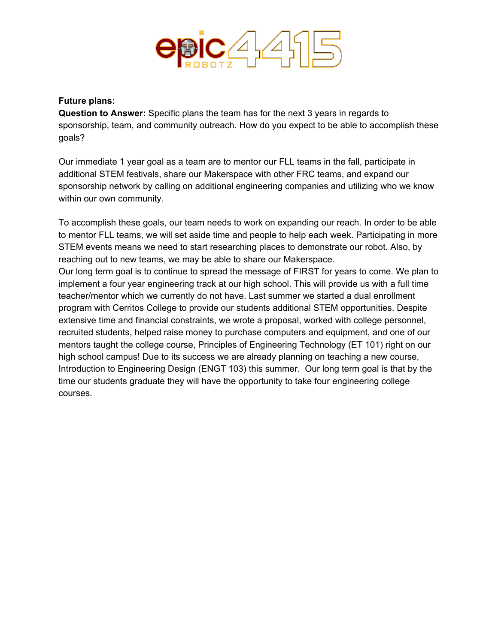

#### **Future plans:**

**Question to Answer:** Specific plans the team has for the next 3 years in regards to sponsorship, team, and community outreach. How do you expect to be able to accomplish these goals?

Our immediate 1 year goal as a team are to mentor our FLL teams in the fall, participate in additional STEM festivals, share our Makerspace with other FRC teams, and expand our sponsorship network by calling on additional engineering companies and utilizing who we know within our own community.

To accomplish these goals, our team needs to work on expanding our reach. In order to be able to mentor FLL teams, we will set aside time and people to help each week. Participating in more STEM events means we need to start researching places to demonstrate our robot. Also, by reaching out to new teams, we may be able to share our Makerspace. Our long term goal is to continue to spread the message of FIRST for years to come. We plan to implement a four year engineering track at our high school. This will provide us with a full time teacher/mentor which we currently do not have. Last summer we started a dual enrollment program with Cerritos College to provide our students additional STEM opportunities. Despite extensive time and financial constraints, we wrote a proposal, worked with college personnel, recruited students, helped raise money to purchase computers and equipment, and one of our mentors taught the college course, Principles of Engineering Technology (ET 101) right on our high school campus! Due to its success we are already planning on teaching a new course, Introduction to Engineering Design (ENGT 103) this summer. Our long term goal is that by the time our students graduate they will have the opportunity to take four engineering college courses.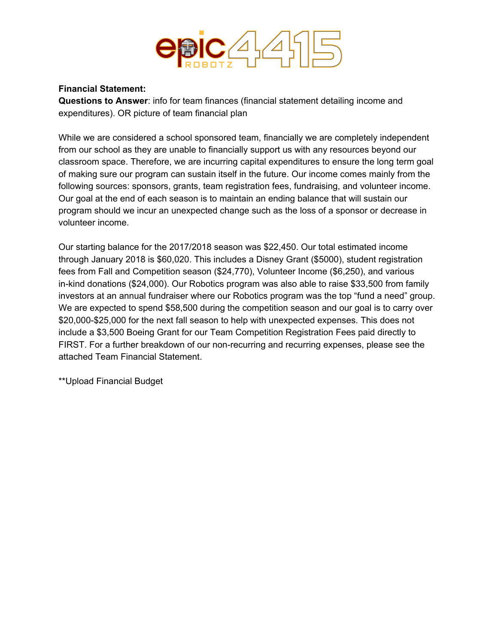

## **Financial Statement:**

**Questions to Answer**: info for team finances (financial statement detailing income and expenditures). OR picture of team financial plan

While we are considered a school sponsored team, financially we are completely independent from our school as they are unable to financially support us with any resources beyond our classroom space. Therefore, we are incurring capital expenditures to ensure the long term goal of making sure our program can sustain itself in the future. Our income comes mainly from the following sources: sponsors, grants, team registration fees, fundraising, and volunteer income. Our goal at the end of each season is to maintain an ending balance that will sustain our program should we incur an unexpected change such as the loss of a sponsor or decrease in volunteer income.

Our starting balance for the 2017/2018 season was \$22,450. Our total estimated income through January 2018 is \$60,020. This includes a Disney Grant (\$5000), student registration fees from Fall and Competition season (\$24,770), Volunteer Income (\$6,250), and various in-kind donations (\$24,000). Our Robotics program was also able to raise \$33,500 from family investors at an annual fundraiser where our Robotics program was the top "fund a need" group. We are expected to spend \$58,500 during the competition season and our goal is to carry over \$20,000-\$25,000 for the next fall season to help with unexpected expenses. This does not include a \$3,500 Boeing Grant for our Team Competition Registration Fees paid directly to FIRST. For a further breakdown of our non-recurring and recurring expenses, please see the attached Team Financial Statement.

\*\*Upload Financial Budget